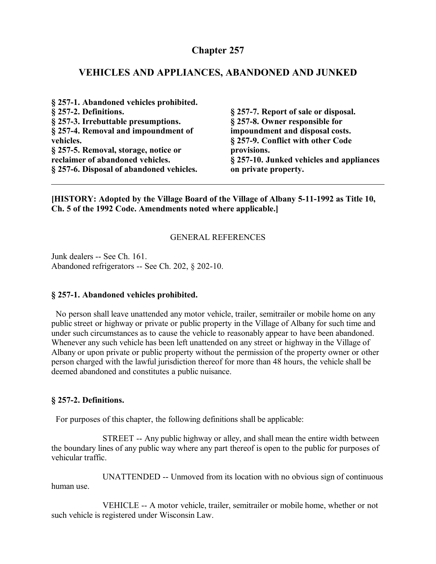# **Chapter 257**

#### **VEHICLES AND APPLIANCES, ABANDONED AND JUNKED**

| § 257-1. Abandoned vehicles prohibited.  |                                          |
|------------------------------------------|------------------------------------------|
| § 257-2. Definitions.                    | § 257-7. Report of sale or disposal.     |
| § 257-3. Irrebuttable presumptions.      | § 257-8. Owner responsible for           |
| § 257-4. Removal and impoundment of      | impoundment and disposal costs.          |
| vehicles.                                | § 257-9. Conflict with other Code        |
| § 257-5. Removal, storage, notice or     | provisions.                              |
| reclaimer of abandoned vehicles.         | § 257-10. Junked vehicles and appliances |
| § 257-6. Disposal of abandoned vehicles. | on private property.                     |

**[HISTORY: Adopted by the Village Board of the Village of Albany 5-11-1992 as Title 10, Ch. 5 of the 1992 Code. Amendments noted where applicable.]**

#### GENERAL REFERENCES

Junk dealers -- See Ch. 161. Abandoned refrigerators -- See Ch. 202, § 202-10.

#### **§ 257-1. Abandoned vehicles prohibited.**

 No person shall leave unattended any motor vehicle, trailer, semitrailer or mobile home on any public street or highway or private or public property in the Village of Albany for such time and under such circumstances as to cause the vehicle to reasonably appear to have been abandoned. Whenever any such vehicle has been left unattended on any street or highway in the Village of Albany or upon private or public property without the permission of the property owner or other person charged with the lawful jurisdiction thereof for more than 48 hours, the vehicle shall be deemed abandoned and constitutes a public nuisance.

#### **§ 257-2. Definitions.**

For purposes of this chapter, the following definitions shall be applicable:

STREET -- Any public highway or alley, and shall mean the entire width between the boundary lines of any public way where any part thereof is open to the public for purposes of vehicular traffic.

UNATTENDED -- Unmoved from its location with no obvious sign of continuous human use.

VEHICLE -- A motor vehicle, trailer, semitrailer or mobile home, whether or not such vehicle is registered under Wisconsin Law.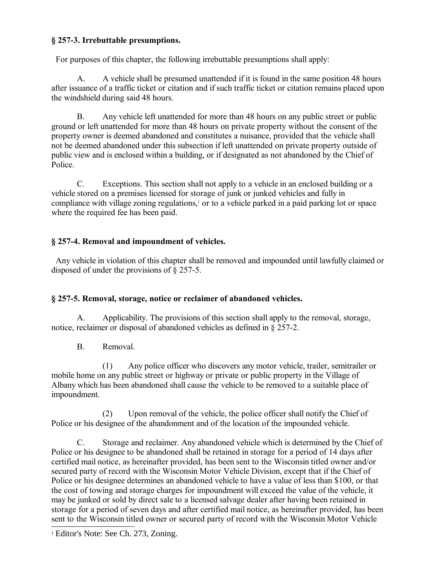## **§ 257-3. Irrebuttable presumptions.**

For purposes of this chapter, the following irrebuttable presumptions shall apply:

A. A vehicle shall be presumed unattended if it is found in the same position 48 hours after issuance of a traffic ticket or citation and if such traffic ticket or citation remains placed upon the windshield during said 48 hours.

B. Any vehicle left unattended for more than 48 hours on any public street or public ground or left unattended for more than 48 hours on private property without the consent of the property owner is deemed abandoned and constitutes a nuisance, provided that the vehicle shall not be deemed abandoned under this subsection if left unattended on private property outside of public view and is enclosed within a building, or if designated as not abandoned by the Chief of Police.

C. Exceptions. This section shall not apply to a vehicle in an enclosed building or a vehicle stored on a premises licensed for storage of junk or junked vehicles and fully in compliance with village zoning regulations,<sup>[1](#page-1-0)</sup> or to a vehicle parked in a paid parking lot or space where the required fee has been paid.

### **§ 257-4. Removal and impoundment of vehicles.**

 Any vehicle in violation of this chapter shall be removed and impounded until lawfully claimed or disposed of under the provisions of § 257-5.

# **§ 257-5. Removal, storage, notice or reclaimer of abandoned vehicles.**

A. Applicability. The provisions of this section shall apply to the removal, storage, notice, reclaimer or disposal of abandoned vehicles as defined in § 257-2.

B. Removal.

(1) Any police officer who discovers any motor vehicle, trailer, semitrailer or mobile home on any public street or highway or private or public property in the Village of Albany which has been abandoned shall cause the vehicle to be removed to a suitable place of impoundment.

(2) Upon removal of the vehicle, the police officer shall notify the Chief of Police or his designee of the abandonment and of the location of the impounded vehicle.

C. Storage and reclaimer. Any abandoned vehicle which is determined by the Chief of Police or his designee to be abandoned shall be retained in storage for a period of 14 days after certified mail notice, as hereinafter provided, has been sent to the Wisconsin titled owner and/or secured party of record with the Wisconsin Motor Vehicle Division, except that if the Chief of Police or his designee determines an abandoned vehicle to have a value of less than \$100, or that the cost of towing and storage charges for impoundment will exceed the value of the vehicle, it may be junked or sold by direct sale to a licensed salvage dealer after having been retained in storage for a period of seven days and after certified mail notice, as hereinafter provided, has been sent to the Wisconsin titled owner or secured party of record with the Wisconsin Motor Vehicle

<span id="page-1-0"></span><sup>&</sup>lt;sup>1</sup> Editor's Note: See Ch. 273, Zoning.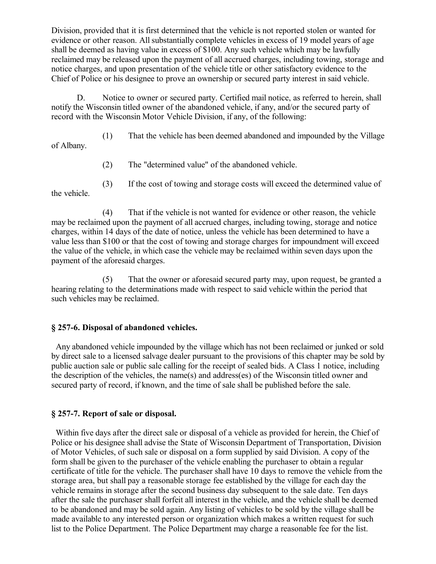Division, provided that it is first determined that the vehicle is not reported stolen or wanted for evidence or other reason. All substantially complete vehicles in excess of 19 model years of age shall be deemed as having value in excess of \$100. Any such vehicle which may be lawfully reclaimed may be released upon the payment of all accrued charges, including towing, storage and notice charges, and upon presentation of the vehicle title or other satisfactory evidence to the Chief of Police or his designee to prove an ownership or secured party interest in said vehicle.

D. Notice to owner or secured party. Certified mail notice, as referred to herein, shall notify the Wisconsin titled owner of the abandoned vehicle, if any, and/or the secured party of record with the Wisconsin Motor Vehicle Division, if any, of the following:

(1) That the vehicle has been deemed abandoned and impounded by the Village

of Albany.

- (2) The "determined value" of the abandoned vehicle.
- (3) If the cost of towing and storage costs will exceed the determined value of

the vehicle.

(4) That if the vehicle is not wanted for evidence or other reason, the vehicle may be reclaimed upon the payment of all accrued charges, including towing, storage and notice charges, within 14 days of the date of notice, unless the vehicle has been determined to have a value less than \$100 or that the cost of towing and storage charges for impoundment will exceed the value of the vehicle, in which case the vehicle may be reclaimed within seven days upon the payment of the aforesaid charges.

(5) That the owner or aforesaid secured party may, upon request, be granted a hearing relating to the determinations made with respect to said vehicle within the period that such vehicles may be reclaimed.

#### **§ 257-6. Disposal of abandoned vehicles.**

 Any abandoned vehicle impounded by the village which has not been reclaimed or junked or sold by direct sale to a licensed salvage dealer pursuant to the provisions of this chapter may be sold by public auction sale or public sale calling for the receipt of sealed bids. A Class 1 notice, including the description of the vehicles, the name(s) and address(es) of the Wisconsin titled owner and secured party of record, if known, and the time of sale shall be published before the sale.

#### **§ 257-7. Report of sale or disposal.**

 Within five days after the direct sale or disposal of a vehicle as provided for herein, the Chief of Police or his designee shall advise the State of Wisconsin Department of Transportation, Division of Motor Vehicles, of such sale or disposal on a form supplied by said Division. A copy of the form shall be given to the purchaser of the vehicle enabling the purchaser to obtain a regular certificate of title for the vehicle. The purchaser shall have 10 days to remove the vehicle from the storage area, but shall pay a reasonable storage fee established by the village for each day the vehicle remains in storage after the second business day subsequent to the sale date. Ten days after the sale the purchaser shall forfeit all interest in the vehicle, and the vehicle shall be deemed to be abandoned and may be sold again. Any listing of vehicles to be sold by the village shall be made available to any interested person or organization which makes a written request for such list to the Police Department. The Police Department may charge a reasonable fee for the list.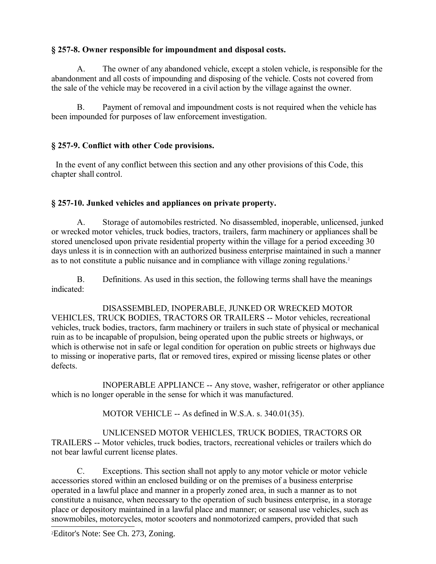# **§ 257-8. Owner responsible for impoundment and disposal costs.**

A. The owner of any abandoned vehicle, except a stolen vehicle, is responsible for the abandonment and all costs of impounding and disposing of the vehicle. Costs not covered from the sale of the vehicle may be recovered in a civil action by the village against the owner.

B. Payment of removal and impoundment costs is not required when the vehicle has been impounded for purposes of law enforcement investigation.

# **§ 257-9. Conflict with other Code provisions.**

 In the event of any conflict between this section and any other provisions of this Code, this chapter shall control.

### **§ 257-10. Junked vehicles and appliances on private property.**

A. Storage of automobiles restricted. No disassembled, inoperable, unlicensed, junked or wrecked motor vehicles, truck bodies, tractors, trailers, farm machinery or appliances shall be stored unenclosed upon private residential property within the village for a period exceeding 30 days unless it is in connection with an authorized business enterprise maintained in such a manner as to not constitute a public nuisance and in compliance with village zoning regulations.<sup>[2](#page-3-0)</sup>

B. Definitions. As used in this section, the following terms shall have the meanings indicated:

DISASSEMBLED, INOPERABLE, JUNKED OR WRECKED MOTOR VEHICLES, TRUCK BODIES, TRACTORS OR TRAILERS -- Motor vehicles, recreational vehicles, truck bodies, tractors, farm machinery or trailers in such state of physical or mechanical ruin as to be incapable of propulsion, being operated upon the public streets or highways, or which is otherwise not in safe or legal condition for operation on public streets or highways due to missing or inoperative parts, flat or removed tires, expired or missing license plates or other defects.

INOPERABLE APPLIANCE -- Any stove, washer, refrigerator or other appliance which is no longer operable in the sense for which it was manufactured.

MOTOR VEHICLE -- As defined in W.S.A. s. 340.01(35).

UNLICENSED MOTOR VEHICLES, TRUCK BODIES, TRACTORS OR TRAILERS -- Motor vehicles, truck bodies, tractors, recreational vehicles or trailers which do not bear lawful current license plates.

C. Exceptions. This section shall not apply to any motor vehicle or motor vehicle accessories stored within an enclosed building or on the premises of a business enterprise operated in a lawful place and manner in a properly zoned area, in such a manner as to not constitute a nuisance, when necessary to the operation of such business enterprise, in a storage place or depository maintained in a lawful place and manner; or seasonal use vehicles, such as snowmobiles, motorcycles, motor scooters and nonmotorized campers, provided that such

<span id="page-3-0"></span>2Editor's Note: See Ch. 273, Zoning.